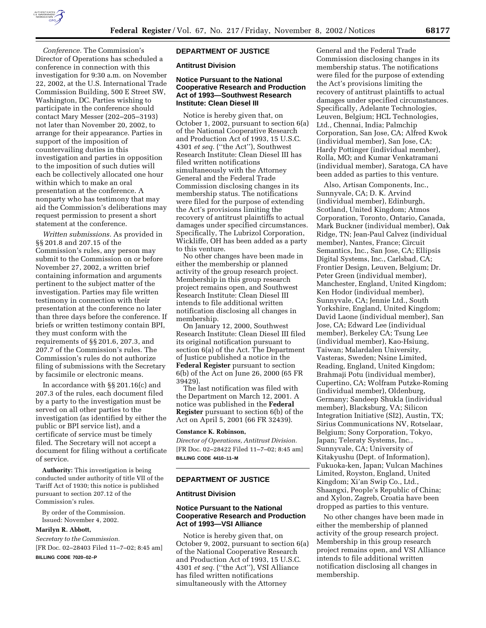

*Conference.* The Commission's Director of Operations has scheduled a conference in connection with this investigation for 9:30 a.m. on November 22, 2002, at the U.S. International Trade Commission Building, 500 E Street SW, Washington, DC. Parties wishing to participate in the conference should contact Mary Messer (202–205–3193) not later than November 20, 2002, to arrange for their appearance. Parties in support of the imposition of countervailing duties in this investigation and parties in opposition to the imposition of such duties will each be collectively allocated one hour within which to make an oral presentation at the conference. A nonparty who has testimony that may aid the Commission's deliberations may request permission to present a short statement at the conference.

*Written submissions.* As provided in §§ 201.8 and 207.15 of the Commission's rules, any person may submit to the Commission on or before November 27, 2002, a written brief containing information and arguments pertinent to the subject matter of the investigation. Parties may file written testimony in connection with their presentation at the conference no later than three days before the conference. If briefs or written testimony contain BPI, they must conform with the requirements of §§ 201.6, 207.3, and 207.7 of the Commission's rules. The Commission's rules do not authorize filing of submissions with the Secretary by facsimile or electronic means.

In accordance with §§ 201.16(c) and 207.3 of the rules, each document filed by a party to the investigation must be served on all other parties to the investigation (as identified by either the public or BPI service list), and a certificate of service must be timely filed. The Secretary will not accept a document for filing without a certificate of service.

**Authority:** This investigation is being conducted under authority of title VII of the Tariff Act of 1930; this notice is published pursuant to section 207.12 of the Commission's rules.

By order of the Commission. Issued: November 4, 2002.

#### **Marilyn R. Abbott,**

*Secretary to the Commission.* [FR Doc. 02–28403 Filed 11–7–02; 8:45 am] **BILLING CODE 7020–02–P**

## **DEPARTMENT OF JUSTICE**

## **Antitrust Division**

## **Notice Pursuant to the National Cooperative Research and Production Act of 1993—Southwest Research Institute: Clean Diesel III**

Notice is hereby given that, on October 1, 2002, pursuant to section 6(a) of the National Cooperative Research and Production Act of 1993, 15 U.S.C. 4301 *et seq.* (''the Act''), Southwest Research Institute: Clean Diesel III has filed written notifications simultaneously with the Attorney General and the Federal Trade Commission disclosing changes in its membership status. The notifications were filed for the purpose of extending the Act's provisions limiting the recovery of antitrust plaintiffs to actual damages under specified circumstances. Specifically, The Lubrizol Corporation, Wickliffe, OH has been added as a party to this venture.

No other changes have been made in either the membership or planned activity of the group research project. Membership in this group research project remains open, and Southwest Research Institute: Clean Diesel III intends to file additional written notification disclosing all changes in membership.

On January 12, 2000, Southwest Research Institute: Clean Diesel III filed its original notification pursuant to section 6(a) of the Act. The Department of Justice published a notice in the **Federal Register** pursuant to section 6(b) of the Act on June 26, 2000 (65 FR 39429).

The last notification was filed with the Department on March 12, 2001. A notice was published in the **Federal Register** pursuant to section 6(b) of the Act on April 5, 2001 (66 FR 32439).

### **Constance K. Robinson,**

*Director of Operations, Antitrust Division.* [FR Doc. 02–28422 Filed 11–7–02; 8:45 am] **BILLING CODE 4410–11–M**

## **DEPARTMENT OF JUSTICE**

#### **Antitrust Division**

## **Notice Pursuant to the National Cooperative Research and Production Act of 1993—VSI Alliance**

Notice is hereby given that, on October 9, 2002, pursuant to section 6(a) of the National Cooperative Research and Production Act of 1993, 15 U.S.C. 4301 *et seq.* (''the Act''), VSI Alliance has filed written notifications simultaneously with the Attorney

General and the Federal Trade Commission disclosing changes in its membership status. The notifications were filed for the purpose of extending the Act's provisions limiting the recovery of antitrust plaintiffs to actual damages under specified circumstances. Specifically, Adelante Technologies, Leuven, Belgium; HCL Technologies, Ltd., Chennai, India; Palmchip Corporation, San Jose, CA; Alfred Kwok (individual member), San Jose, CA; Hardy Pottinger (individual member), Rolla, MO; and Kumar Venkatramani (individual member), Saratoga, CA have been added as parties to this venture.

Also, Artisan Components, Inc., Sunnyvale, CA; D. K. Arvind (individual member), Edinburgh, Scotland, United Kingdom; Atmos Corporation, Toronto, Ontario, Canada, Mark Buckner (individual member), Oak Ridge, TN; Jean-Paul Calvez (individual member), Nantes, France; Circuit Semantics, Inc., San Jose, CA; Ellipsis Digital Systems, Inc., Carlsbad, CA; Frontier Design, Leuven, Belgium; Dr. Peter Green (individual member), Manchester, England, United Kingdom; Ken Hodor (individual member), Sunnyvale, CA; Jennie Ltd., South Yorkshire, England, United Kingdom; David Laone (individual member), San Jose, CA; Edward Lee (individual member), Berkeley CA; Tsung Lee (individual member), Kao-Hsiung, Taiwan; Malardalen University, Vasteras, Sweden; Nsine Limited, Reading, England, United Kingdom; Brahmaji Potu (individual member), Cupertino, CA; Wolfram Putzke-Roming (individual member), Oldenburg, Germany; Sandeep Shukla (individual member), Blacksburg, VA; Silicon Integration Initiative (SI2), Austin, TX; Sirius Communications NV, Rotselaar, Belgium; Sony Corporation, Tokyo, Japan; Teleraty Systems, Inc., Sunnyvale, CA; University of Kitakyushu (Dept. of Information), Fukuoka-ken, Japan; Vulcan Machines Limited, Royston, England, United Kingdom; Xi'an Swip Co., Ltd., Shaangxi, People's Republic of China; and Xylon, Zagreb, Croatia have been dropped as parties to this venture.

No other changes have been made in either the membership of planned activity of the group research project. Membership in this group research project remains open, and VSI Alliance intends to file additional written notification disclosing all changes in membership.